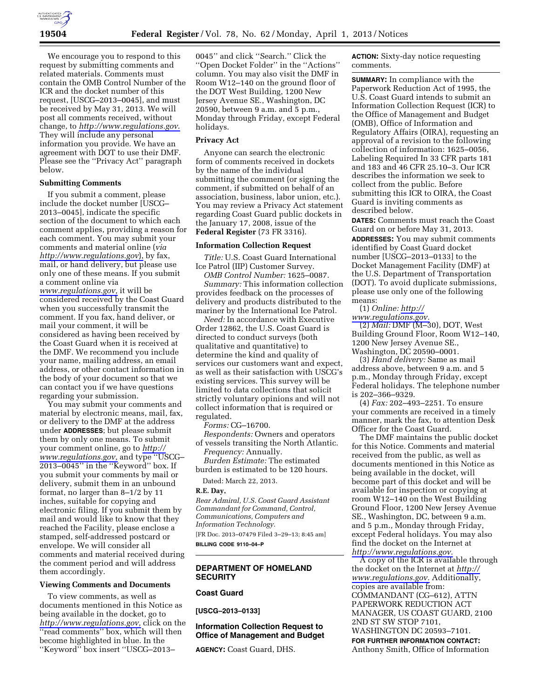

We encourage you to respond to this request by submitting comments and related materials. Comments must contain the OMB Control Number of the ICR and the docket number of this request, [USCG–2013–0045], and must be received by May 31, 2013. We will post all comments received, without change, to *<http://www.regulations.gov>*. They will include any personal information you provide. We have an agreement with DOT to use their DMF. Please see the ''Privacy Act'' paragraph below.

## **Submitting Comments**

If you submit a comment, please include the docket number [USCG– 2013–0045], indicate the specific section of the document to which each comment applies, providing a reason for each comment. You may submit your comments and material online (*via <http://www.regulations.gov>*), by fax, mail, or hand delivery, but please use only one of these means. If you submit a comment online via *[www.regulations.gov,](http://www.regulations.gov)* it will be considered received by the Coast Guard when you successfully transmit the comment. If you fax, hand deliver, or mail your comment, it will be considered as having been received by the Coast Guard when it is received at the DMF. We recommend you include your name, mailing address, an email address, or other contact information in the body of your document so that we can contact you if we have questions regarding your submission.

You may submit your comments and material by electronic means, mail, fax, or delivery to the DMF at the address under **ADDRESSES**; but please submit them by only one means. To submit your comment online, go to *[http://](http://www.regulations.gov)  [www.regulations.gov,](http://www.regulations.gov)* and type ''USCG– 2013–0045'' in the ''Keyword'' box. If you submit your comments by mail or delivery, submit them in an unbound format, no larger than 8–1/2 by 11 inches, suitable for copying and electronic filing. If you submit them by mail and would like to know that they reached the Facility, please enclose a stamped, self-addressed postcard or envelope. We will consider all comments and material received during the comment period and will address them accordingly.

#### **Viewing Comments and Documents**

To view comments, as well as documents mentioned in this Notice as being available in the docket, go to *[http://www.regulations.gov,](http://www.regulations.gov)* click on the ''read comments'' box, which will then become highlighted in blue. In the ''Keyword'' box insert ''USCG–2013–

0045'' and click ''Search.'' Click the ''Open Docket Folder'' in the ''Actions'' column. You may also visit the DMF in Room W12–140 on the ground floor of the DOT West Building, 1200 New Jersey Avenue SE., Washington, DC 20590, between 9 a.m. and 5 p.m., Monday through Friday, except Federal holidays.

# **Privacy Act**

Anyone can search the electronic form of comments received in dockets by the name of the individual submitting the comment (or signing the comment, if submitted on behalf of an association, business, labor union, etc.). You may review a Privacy Act statement regarding Coast Guard public dockets in the January 17, 2008, issue of the **Federal Register** (73 FR 3316).

#### **Information Collection Request**

*Title:* U.S. Coast Guard International Ice Patrol (IIP) Customer Survey.

*OMB Control Number:* 1625–0087. *Summary:* This information collection provides feedback on the processes of delivery and products distributed to the mariner by the International Ice Patrol.

*Need:* In accordance with Executive Order 12862, the U.S. Coast Guard is directed to conduct surveys (both qualitative and quantitative) to determine the kind and quality of services our customers want and expect, as well as their satisfaction with USCG's existing services. This survey will be limited to data collections that solicit strictly voluntary opinions and will not collect information that is required or regulated.

*Forms:* CG–16700.

*Respondents:* Owners and operators of vessels transiting the North Atlantic.

*Frequency:* Annually. *Burden Estimate:* The estimated burden is estimated to be 120 hours.

Dated: March 22, 2013.

#### **R.E. Day,**

*Rear Admiral, U.S. Coast Guard Assistant Commandant for Command, Control, Communications, Computers and Information Technology.*  [FR Doc. 2013–07479 Filed 3–29–13; 8:45 am] **BILLING CODE 9110–04–P** 

## **DEPARTMENT OF HOMELAND SECURITY**

## **Coast Guard**

**[USCG–2013–0133]** 

#### **Information Collection Request to Office of Management and Budget**

**AGENCY:** Coast Guard, DHS.

**ACTION:** Sixty-day notice requesting comments.

**SUMMARY:** In compliance with the Paperwork Reduction Act of 1995, the U.S. Coast Guard intends to submit an Information Collection Request (ICR) to the Office of Management and Budget (OMB), Office of Information and Regulatory Affairs (OIRA), requesting an approval of a revision to the following collection of information: 1625–0056, Labeling Required In 33 CFR parts 181 and 183 and 46 CFR 25.10–3. Our ICR describes the information we seek to collect from the public. Before submitting this ICR to OIRA, the Coast Guard is inviting comments as described below.

**DATES:** Comments must reach the Coast Guard on or before May 31, 2013. **ADDRESSES:** You may submit comments identified by Coast Guard docket number [USCG–2013–0133] to the Docket Management Facility (DMF) at the U.S. Department of Transportation (DOT). To avoid duplicate submissions, please use only one of the following means:

(1) *Online: [http://](http://www.regulations.gov)* 

*[www.regulations.gov.](http://www.regulations.gov)*  (2) *Mail:* DMF (M–30), DOT, West Building Ground Floor, Room W12–140, 1200 New Jersey Avenue SE., Washington, DC 20590–0001.

(3) *Hand delivery:* Same as mail address above, between 9 a.m. and 5 p.m., Monday through Friday, except Federal holidays. The telephone number is 202–366–9329.

(4) *Fax:* 202–493–2251. To ensure your comments are received in a timely manner, mark the fax, to attention Desk Officer for the Coast Guard.

The DMF maintains the public docket for this Notice. Comments and material received from the public, as well as documents mentioned in this Notice as being available in the docket, will become part of this docket and will be available for inspection or copying at room W12–140 on the West Building Ground Floor, 1200 New Jersey Avenue SE., Washington, DC, between 9 a.m. and 5 p.m., Monday through Friday, except Federal holidays. You may also find the docket on the Internet at *[http://www.regulations.gov.](http://www.regulations.gov)* 

A copy of the ICR is available through the docket on the Internet at *[http://](http://www.regulations.gov) [www.regulations.gov.](http://www.regulations.gov)* Additionally, copies are available from: COMMANDANT (CG–612), ATTN PAPERWORK REDUCTION ACT MANAGER, US COAST GUARD, 2100 2ND ST SW STOP 7101, WASHINGTON DC 20593–7101.

**FOR FURTHER INFORMATION CONTACT:**  Anthony Smith, Office of Information